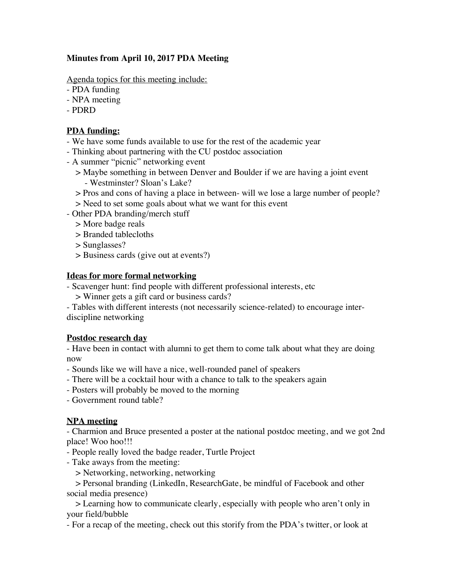# **Minutes from April 10, 2017 PDA Meeting**

Agenda topics for this meeting include:

- PDA funding
- NPA meeting
- PDRD

### **PDA funding:**

- We have some funds available to use for the rest of the academic year
- Thinking about partnering with the CU postdoc association
- A summer "picnic" networking event
	- > Maybe something in between Denver and Boulder if we are having a joint event - Westminster? Sloan's Lake?
	- > Pros and cons of having a place in between- will we lose a large number of people?
	- > Need to set some goals about what we want for this event
- Other PDA branding/merch stuff
	- > More badge reals
	- > Branded tablecloths
	- > Sunglasses?
	- > Business cards (give out at events?)

### **Ideas for more formal networking**

- Scavenger hunt: find people with different professional interests, etc

- > Winner gets a gift card or business cards?
- Tables with different interests (not necessarily science-related) to encourage interdiscipline networking

# **Postdoc research day**

- Have been in contact with alumni to get them to come talk about what they are doing now

- Sounds like we will have a nice, well-rounded panel of speakers
- There will be a cocktail hour with a chance to talk to the speakers again
- Posters will probably be moved to the morning
- Government round table?

# **NPA meeting**

- Charmion and Bruce presented a poster at the national postdoc meeting, and we got 2nd place! Woo hoo!!!

- People really loved the badge reader, Turtle Project
- Take aways from the meeting:
	- > Networking, networking, networking

> Personal branding (LinkedIn, ResearchGate, be mindful of Facebook and other social media presence)

> Learning how to communicate clearly, especially with people who aren't only in your field/bubble

- For a recap of the meeting, check out this storify from the PDA's twitter, or look at